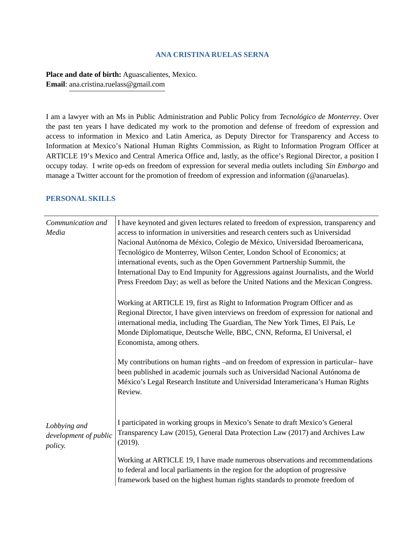#### **ANA CRISTINA RUELAS SERNA**

**Place and date of birth:** Aguascalientes, Mexico. **Email**: ana.cristina.ruelass@gmail.com

I am a lawyer with an Ms in Public Administration and Public Policy from *Tecnológico de Monterrey*. Over the past ten years I have dedicated my work to the promotion and defense of freedom of expression and access to information in Mexico and Latin America, as Deputy Director for Transparency and Access to Information at Mexico's National Human Rights Commission, as Right to Information Program Officer at ARTICLE 19's Mexico and Central America Office and, lastly, as the office's Regional Director, a position I occupy today. I write op-eds on freedom of expression for several media outlets including *Sin Embargo* and manage a Twitter account for the promotion of freedom of expression and information (@anaruelas).

### **PERSONAL SKILLS**

| Communication and<br>Media                       | I have keynoted and given lectures related to freedom of expression, transparency and<br>access to information in universities and research centers such as Universidad<br>Nacional Autónoma de México, Colegio de México, Universidad Iberoamericana,<br>Tecnológico de Monterrey, Wilson Center, London School of Economics; at<br>international events, such as the Open Government Partnership Summit, the<br>International Day to End Impunity for Aggressions against Journalists, and the World<br>Press Freedom Day; as well as before the United Nations and the Mexican Congress. |
|--------------------------------------------------|---------------------------------------------------------------------------------------------------------------------------------------------------------------------------------------------------------------------------------------------------------------------------------------------------------------------------------------------------------------------------------------------------------------------------------------------------------------------------------------------------------------------------------------------------------------------------------------------|
|                                                  | Working at ARTICLE 19, first as Right to Information Program Officer and as<br>Regional Director, I have given interviews on freedom of expression for national and<br>international media, including The Guardian, The New York Times, El País, Le<br>Monde Diplomatique, Deutsche Welle, BBC, CNN, Reforma, El Universal, el<br>Economista, among others.                                                                                                                                                                                                                                 |
|                                                  | My contributions on human rights -and on freedom of expression in particular-have<br>been published in academic journals such as Universidad Nacional Autónoma de<br>México's Legal Research Institute and Universidad Interamericana's Human Rights<br>Review.                                                                                                                                                                                                                                                                                                                             |
| Lobbying and<br>development of public<br>policy. | I participated in working groups in Mexico's Senate to draft Mexico's General<br>Transparency Law (2015), General Data Protection Law (2017) and Archives Law<br>(2019).                                                                                                                                                                                                                                                                                                                                                                                                                    |
|                                                  | Working at ARTICLE 19, I have made numerous observations and recommendations<br>to federal and local parliaments in the region for the adoption of progressive<br>framework based on the highest human rights standards to promote freedom of                                                                                                                                                                                                                                                                                                                                               |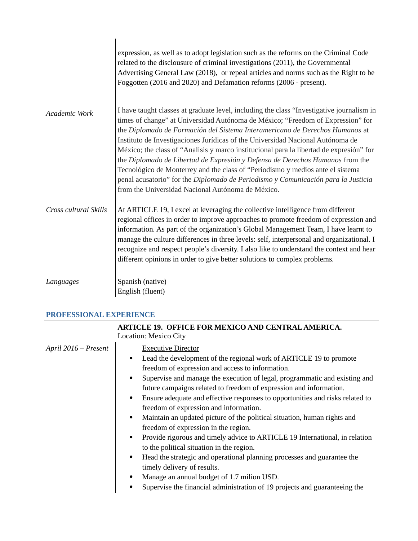|                       | expression, as well as to adopt legislation such as the reforms on the Criminal Code<br>related to the disclousure of criminal investigations (2011), the Governmental<br>Advertising General Law (2018), or repeal articles and norms such as the Right to be<br>Foggotten (2016 and 2020) and Defamation reforms (2006 - present).                                                                                                                                                                                                                                                                                                                                                                                                                   |
|-----------------------|--------------------------------------------------------------------------------------------------------------------------------------------------------------------------------------------------------------------------------------------------------------------------------------------------------------------------------------------------------------------------------------------------------------------------------------------------------------------------------------------------------------------------------------------------------------------------------------------------------------------------------------------------------------------------------------------------------------------------------------------------------|
| Academic Work         | I have taught classes at graduate level, including the class "Investigative journalism in<br>times of change" at Universidad Autónoma de México; "Freedom of Expression" for<br>the Diplomado de Formación del Sistema Interamericano de Derechos Humanos at<br>Instituto de Investigaciones Jurídicas of the Universidad Nacional Autónoma de<br>México; the class of "Analisis y marco institucional para la libertad de expresión" for<br>the Diplomado de Libertad de Expresión y Defensa de Derechos Humanos from the<br>Tecnológico de Monterrey and the class of "Periodismo y medios ante el sistema<br>penal acusatorio" for the Diplomado de Periodismo y Comunicación para la Justicia<br>from the Universidad Nacional Autónoma de México. |
| Cross cultural Skills | At ARTICLE 19, I excel at leveraging the collective intelligence from different<br>regional offices in order to improve approaches to promote freedom of expression and<br>information. As part of the organization's Global Management Team, I have learnt to<br>manage the culture differences in three levels: self, interpersonal and organizational. I<br>recognize and respect people's diversity. I also like to understand the context and hear<br>different opinions in order to give better solutions to complex problems.                                                                                                                                                                                                                   |
| Languages             | Spanish (native)<br>English (fluent)                                                                                                                                                                                                                                                                                                                                                                                                                                                                                                                                                                                                                                                                                                                   |

## **PROFESSIONAL EXPERIENCE**

| Location: Mexico City<br>April 2016 – Present<br><b>Executive Director</b><br>Lead the development of the regional work of ARTICLE 19 to promote<br>$\bullet$<br>freedom of expression and access to information.<br>Supervise and manage the execution of legal, programmatic and existing and<br>$\bullet$<br>future campaigns related to freedom of expression and information.<br>Ensure adequate and effective responses to opportunities and risks related to<br>$\bullet$<br>freedom of expression and information.<br>Maintain an updated picture of the political situation, human rights and<br>$\bullet$<br>freedom of expression in the region.<br>Provide rigorous and timely advice to ARTICLE 19 International, in relation<br>$\bullet$<br>to the political situation in the region.<br>Head the strategic and operational planning processes and guarantee the<br>$\bullet$ |
|----------------------------------------------------------------------------------------------------------------------------------------------------------------------------------------------------------------------------------------------------------------------------------------------------------------------------------------------------------------------------------------------------------------------------------------------------------------------------------------------------------------------------------------------------------------------------------------------------------------------------------------------------------------------------------------------------------------------------------------------------------------------------------------------------------------------------------------------------------------------------------------------|
|                                                                                                                                                                                                                                                                                                                                                                                                                                                                                                                                                                                                                                                                                                                                                                                                                                                                                              |
| timely delivery of results.<br>Manage an annual budget of 1.7 milion USD.<br>$\bullet$<br>Supervise the financial administration of 19 projects and guaranteeing the<br>$\bullet$                                                                                                                                                                                                                                                                                                                                                                                                                                                                                                                                                                                                                                                                                                            |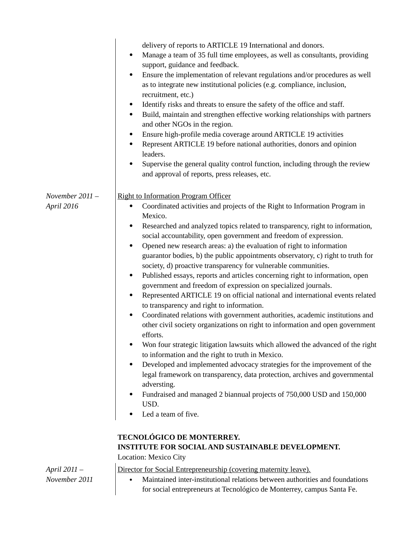|                               | delivery of reports to ARTICLE 19 International and donors.<br>Manage a team of 35 full time employees, as well as consultants, providing<br>٠<br>support, guidance and feedback.<br>Ensure the implementation of relevant regulations and/or procedures as well<br>٠<br>as to integrate new institutional policies (e.g. compliance, inclusion,<br>recruitment, etc.)<br>Identify risks and threats to ensure the safety of the office and staff.<br>٠<br>Build, maintain and strengthen effective working relationships with partners<br>$\bullet$<br>and other NGOs in the region.<br>Ensure high-profile media coverage around ARTICLE 19 activities<br>٠<br>Represent ARTICLE 19 before national authorities, donors and opinion<br>٠<br>leaders.<br>Supervise the general quality control function, including through the review<br>and approval of reports, press releases, etc.                                                                                                                                                                                                                                                                                                                                                                                                                                                                                                                                                                                                    |
|-------------------------------|--------------------------------------------------------------------------------------------------------------------------------------------------------------------------------------------------------------------------------------------------------------------------------------------------------------------------------------------------------------------------------------------------------------------------------------------------------------------------------------------------------------------------------------------------------------------------------------------------------------------------------------------------------------------------------------------------------------------------------------------------------------------------------------------------------------------------------------------------------------------------------------------------------------------------------------------------------------------------------------------------------------------------------------------------------------------------------------------------------------------------------------------------------------------------------------------------------------------------------------------------------------------------------------------------------------------------------------------------------------------------------------------------------------------------------------------------------------------------------------------|
| November 2011 -<br>April 2016 | <b>Right to Information Program Officer</b><br>Coordinated activities and projects of the Right to Information Program in<br>٠<br>Mexico.<br>Researched and analyzed topics related to transparency, right to information,<br>٠<br>social accountability, open government and freedom of expression.<br>Opened new research areas: a) the evaluation of right to information<br>$\bullet$<br>guarantor bodies, b) the public appointments observatory, c) right to truth for<br>society, d) proactive transparency for vulnerable communities.<br>Published essays, reports and articles concerning right to information, open<br>٠<br>government and freedom of expression on specialized journals.<br>Represented ARTICLE 19 on official national and international events related<br>٠<br>to transparency and right to information.<br>Coordinated relations with government authorities, academic institutions and<br>$\bullet$<br>other civil society organizations on right to information and open government<br>efforts.<br>Won four strategic litigation lawsuits which allowed the advanced of the right<br>to information and the right to truth in Mexico.<br>Developed and implemented advocacy strategies for the improvement of the<br>٠<br>legal framework on transparency, data protection, archives and governmental<br>adversting.<br>Fundraised and managed 2 biannual projects of 750,000 USD and 150,000<br>USD.<br>Led a team of five.<br>TECNOLÓGICO DE MONTERREY. |
|                               | INSTITUTE FOR SOCIAL AND SUSTAINABLE DEVELOPMENT.<br><b>Location: Mexico City</b>                                                                                                                                                                                                                                                                                                                                                                                                                                                                                                                                                                                                                                                                                                                                                                                                                                                                                                                                                                                                                                                                                                                                                                                                                                                                                                                                                                                                          |
| April 2011 -<br>November 2011 | Director for Social Entrepreneurship (covering maternity leave).<br>Maintained inter-institutional relations between authorities and foundations<br>for social entrepreneurs at Tecnológico de Monterrey, campus Santa Fe.                                                                                                                                                                                                                                                                                                                                                                                                                                                                                                                                                                                                                                                                                                                                                                                                                                                                                                                                                                                                                                                                                                                                                                                                                                                                 |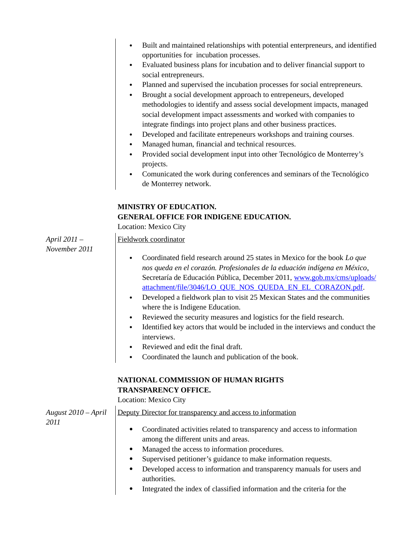| Built and maintained relationships with potential enterpreneurs, and identified |
|---------------------------------------------------------------------------------|
| opportunities for incubation processes.                                         |

- Evaluated business plans for incubation and to deliver financial support to social entrepreneurs.
- Planned and supervised the incubation processes for social entrepreneurs.
- Brought a social development approach to entrepeneurs, developed methodologies to identify and assess social development impacts, managed social development impact assessments and worked with companies to integrate findings into project plans and other business practices.
- Developed and facilitate entrepeneurs workshops and training courses.
- Managed human, financial and technical resources.
- Provided social development input into other Tecnológico de Monterrey's projects.
- Comunicated the work during conferences and seminars of the Tecnológico de Monterrey network.

# **MINISTRY OF EDUCATION. GENERAL OFFICE FOR INDIGENE EDUCATION.**

Location: Mexico City

Fieldwork coordinator

*April 2011 – November 2011*

- Coordinated field research around 25 states in Mexico for the book *Lo que nos queda en el corazón. Profesionales de la eduación indígena en México*, Secretaría de Educación Pública, December 2011, www.gob.mx/cms/uploads/ attachment/file/3046/LO\_QUE\_NOS\_QUEDA\_EN\_EL\_CORAZON.pdf.
- Developed a fieldwork plan to visit 25 Mexican States and the communities where the is Indigene Education.
- Reviewed the security measures and logistics for the field research.
- Identified key actors that would be included in the interviews and conduct the interviews.
- Reviewed and edit the final draft.
- Coordinated the launch and publication of the book.

## **NATIONAL COMMISSION OF HUMAN RIGHTS TRANSPARENCY OFFICE.**

Location: Mexico City  $\mathbf{I}$ 

| August 2010 – April | Deputy Director for transparency and access to information                            |
|---------------------|---------------------------------------------------------------------------------------|
| 2011                |                                                                                       |
|                     | Coordinated activities related to transparency and access to information<br>$\bullet$ |
|                     | among the different units and areas.                                                  |
|                     | Managed the access to information procedures.<br>$\bullet$                            |
|                     | Supervised petitioner's guidance to make information requests.<br>٠                   |
|                     | Developed access to information and transparency manuals for users and<br>$\bullet$   |
|                     | authorities.                                                                          |
|                     | Integrated the index of classified information and the criteria for the<br>$\bullet$  |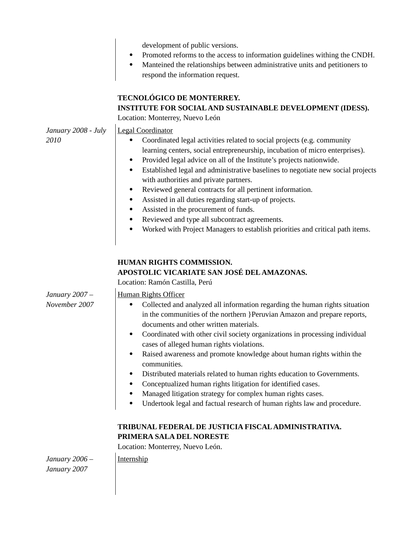| INSTITUTE FOR SOCIAL AND SUSTAINABLE DEVELOPMENT (IDESS).                                                                                                                                                                                                                                                                                                                                  |
|--------------------------------------------------------------------------------------------------------------------------------------------------------------------------------------------------------------------------------------------------------------------------------------------------------------------------------------------------------------------------------------------|
| learning centers, social entrepreneurship, incubation of micro enterprises).<br>Established legal and administrative baselines to negotiate new social projects<br>Worked with Project Managers to establish priorities and critical path items.                                                                                                                                           |
|                                                                                                                                                                                                                                                                                                                                                                                            |
| Collected and analyzed all information regarding the human rights situation<br>in the communities of the northern } Peruvian Amazon and prepare reports,<br>Coordinated with other civil society organizations in processing individual<br>Raised awareness and promote knowledge about human rights within the<br>Undertook legal and factual research of human rights law and procedure. |
|                                                                                                                                                                                                                                                                                                                                                                                            |
|                                                                                                                                                                                                                                                                                                                                                                                            |
|                                                                                                                                                                                                                                                                                                                                                                                            |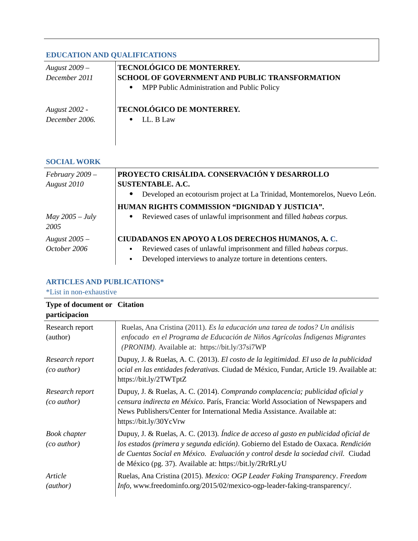## **EDUCATION AND QUALIFICATIONS**

| August 2009 –        | <b>TECNOLÓGICO DE MONTERREY.</b>                         |
|----------------------|----------------------------------------------------------|
| December 2011        | <b>SCHOOL OF GOVERNMENT AND PUBLIC TRANSFORMATION</b>    |
|                      | MPP Public Administration and Public Policy<br>$\bullet$ |
|                      |                                                          |
| <b>August 2002 -</b> | <b>TECNOLÓGICO DE MONTERREY.</b>                         |
| December 2006.       | LL. B Law                                                |
|                      |                                                          |
|                      |                                                          |

### **SOCIAL WORK**

| February 2009 -           | PROYECTO CRISÁLIDA. CONSERVACIÓN Y DESARROLLO                                          |
|---------------------------|----------------------------------------------------------------------------------------|
| August 2010               | <b>SUSTENTABLE, A.C.</b>                                                               |
|                           | Developed an ecotourism project at La Trinidad, Montemorelos, Nuevo León.<br>$\bullet$ |
|                           | HUMAN RIGHTS COMMISSION "DIGNIDAD Y JUSTICIA".                                         |
| May $2005 - July$<br>2005 | • Reviewed cases of unlawful imprisonment and filled habeas corpus.                    |
| August 2005 -             | CIUDADANOS EN APOYO A LOS DERECHOS HUMANOS, A. C.                                      |
| October 2006              | Reviewed cases of unlawful imprisonment and filled habeas corpus.<br>$\bullet$         |
|                           | Developed interviews to analyze torture in detentions centers.                         |

# **ARTICLES AND PUBLICATIONS\***

\*List in non-exhaustive

| <b>Type of document or Citation</b><br>participacion |                                                                                                                                                                                                                                                                                                                            |
|------------------------------------------------------|----------------------------------------------------------------------------------------------------------------------------------------------------------------------------------------------------------------------------------------------------------------------------------------------------------------------------|
| Research report<br>(author)                          | Ruelas, Ana Cristina (2011). Es la educación una tarea de todos? Un análisis<br>enfocado en el Programa de Educación de Niños Agrícolas Índigenas Migrantes<br>(PRONIM). Available at: https://bit.ly/37si7WP                                                                                                              |
| Research report<br>(co author)                       | Dupuy, J. & Ruelas, A. C. (2013). El costo de la legitimidad. El uso de la publicidad<br>ocial en las entidades federativas. Ciudad de México, Fundar, Article 19. Available at:<br>https://bit.ly/2TWTptZ                                                                                                                 |
| Research report<br>(co author)                       | Dupuy, J. & Ruelas, A. C. (2014). Comprando complacencia; publicidad oficial y<br>censura indirecta en México. París, Francia: World Association of Newspapers and<br>News Publishers/Center for International Media Assistance. Available at:<br>https://bit.ly/30YcVrw                                                   |
| <b>Book chapter</b><br>(co author)                   | Dupuy, J. & Ruelas, A. C. (2013). Índice de acceso al gasto en publicidad oficial de<br>los estados (primera y segunda edición). Gobierno del Estado de Oaxaca. Rendición<br>de Cuentas Social en México. Evaluación y control desde la sociedad civil. Ciudad<br>de México (pg. 37). Available at: https://bit.ly/2RrRLyU |
| Article<br>(author)                                  | Ruelas, Ana Cristina (2015). Mexico: OGP Leader Faking Transparency. Freedom<br>Info, www.freedominfo.org/2015/02/mexico-ogp-leader-faking-transparency/.                                                                                                                                                                  |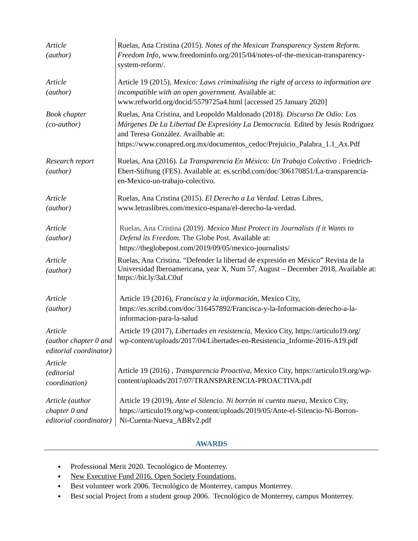| Article<br>(author)                                        | Ruelas, Ana Cristina (2015). Notes of the Mexican Transparency System Reform.<br>Freedom Info, www.freedominfo.org/2015/04/notes-of-the-mexican-transparency-<br>system-reform/.                                                                                                 |
|------------------------------------------------------------|----------------------------------------------------------------------------------------------------------------------------------------------------------------------------------------------------------------------------------------------------------------------------------|
| Article<br>(author)                                        | Article 19 (2015), Mexico: Laws criminalising the right of access to information are<br>incompatible with an open government. Available at:<br>www.refworld.org/docid/5579725a4.html [accessed 25 January 2020]                                                                  |
| <b>Book chapter</b><br>(co-author)                         | Ruelas, Ana Cristina, and Leopoldo Maldonado (2018). Discurso De Odio: Los<br>Márgenes De La Libertad De Expresióny La Democracia. Edited by Jesús Rodríguez<br>and Teresa González. Availbable at:<br>https://www.conapred.org.mx/documentos_cedoc/Prejuicio_Palabra_1.1_Ax.Pdf |
| Research report<br>(author)                                | Ruelas, Ana (2016). La Transparencia En México: Un Trabajo Colectivo. Friedrich-<br>Ebert-Stiftung (FES). Available at: es.scribd.com/doc/306170851/La-transparencia-<br>en-Mexico-un-trabajo-colectivo.                                                                         |
| Article<br>(author)                                        | Ruelas, Ana Cristina (2015). El Derecho a La Verdad. Letras Libres,<br>www.letraslibres.com/mexico-espana/el-derecho-la-verdad.                                                                                                                                                  |
| Article<br>(author)                                        | Ruelas, Ana Cristina (2019). Mexico Must Protect its Journalists if it Wants to<br>Defend its Freedom. The Globe Post. Available at:<br>https://theglobepost.com/2019/09/05/mexico-journalists/                                                                                  |
| Article<br>(author)                                        | Ruelas, Ana Cristina. "Defender la libertad de expresión en México" Revista de la<br>Universidad Iberoamericana, year X, Num 57, August - December 2018, Available at:<br>https://bit.ly/3aLC0uf                                                                                 |
| Article<br>(author)                                        | Article 19 (2016), Francisca y la información, Mexico City,<br>https://es.scribd.com/doc/316457892/Francisca-y-la-Informacion-derecho-a-la-<br>informacion-para-la-salud                                                                                                         |
| Article<br>(author chapter 0 and<br>editorial coordinator) | Article 19 (2017), Libertades en resistencia, Mexico City, https://articulo19.org/<br>wp-content/uploads/2017/04/Libertades-en-Resistencia_Informe-2016-A19.pdf                                                                                                                  |
| Article<br>(editorial<br>coordination)                     | Article 19 (2016), Transparencia Proactiva, Mexico City, https://articulo19.org/wp-<br>content/uploads/2017/07/TRANSPARENCIA-PROACTIVA.pdf                                                                                                                                       |
| Article (author<br>chapter 0 and<br>editorial coordinator) | Article 19 (2019), Ante el Silencio. Ni borrón ni cuenta nueva, Mexico City,<br>https://articulo19.org/wp-content/uploads/2019/05/Ante-el-Silencio-Ni-Borron-<br>Ni-Cuenta-Nueva_ABRv2.pdf                                                                                       |

#### **AWARDS**

- Professional Merit 2020. Tecnológico de Monterrey.
- New Executive Fund 2016. Open Society Foundations.
- Best volunteer work 2006. Tecnológico de Monterrey, campus Monterrey.
- Best social Project from a student group 2006. Tecnológico de Monterrey, campus Monterrey.